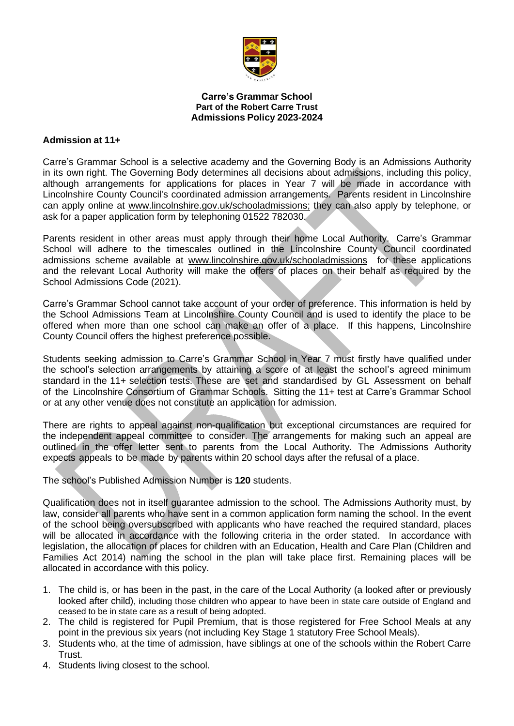

#### **Carre's Grammar School Part of the Robert Carre Trust Admissions Policy 2023-2024**

## **Admission at 11+**

Carre's Grammar School is a selective academy and the Governing Body is an Admissions Authority in its own right. The Governing Body determines all decisions about admissions, including this policy, although arrangements for applications for places in Year 7 will be made in accordance with Lincolnshire County Council's coordinated admission arrangements. Parents resident in Lincolnshire can apply online at [www.lincolnshire.gov.uk/schooladmissions;](http://www.lincolnshire.gov.uk/schooladmissions) they can also apply by telephone, or ask for a paper application form by telephoning 01522 782030.

Parents resident in other areas must apply through their home Local Authority. Carre's Grammar School will adhere to the timescales outlined in the Lincolnshire County Council coordinated admissions scheme available at [www.lincolnshire.gov.uk/schooladmissions](http://www.lincolnshire.gov.uk/schooladmissions) for these applications and the relevant Local Authority will make the offers of places on their behalf as required by the School Admissions Code (2021).

Carre's Grammar School cannot take account of your order of preference. This information is held by the School Admissions Team at Lincolnshire County Council and is used to identify the place to be offered when more than one school can make an offer of a place. If this happens, Lincolnshire County Council offers the highest preference possible.

Students seeking admission to Carre's Grammar School in Year 7 must firstly have qualified under the school's selection arrangements by attaining a score of at least the school's agreed minimum standard in the 11+ selection tests. These are set and standardised by GL Assessment on behalf of the Lincolnshire Consortium of Grammar Schools. Sitting the 11+ test at Carre's Grammar School or at any other venue does not constitute an application for admission.

There are rights to appeal against non-qualification but exceptional circumstances are required for the independent appeal committee to consider. The arrangements for making such an appeal are outlined in the offer letter sent to parents from the Local Authority. The Admissions Authority expects appeals to be made by parents within 20 school days after the refusal of a place.

The school's Published Admission Number is **120** students.

Qualification does not in itself guarantee admission to the school. The Admissions Authority must, by law, consider all parents who have sent in a common application form naming the school. In the event of the school being oversubscribed with applicants who have reached the required standard, places will be allocated in accordance with the following criteria in the order stated. In accordance with legislation, the allocation of places for children with an Education, Health and Care Plan (Children and Families Act 2014) naming the school in the plan will take place first. Remaining places will be allocated in accordance with this policy.

- 1. The child is, or has been in the past, in the care of the Local Authority (a looked after or previously looked after child), including those children who appear to have been in state care outside of England and ceased to be in state care as a result of being adopted.
- 2. The child is registered for Pupil Premium, that is those registered for Free School Meals at any point in the previous six years (not including Key Stage 1 statutory Free School Meals).
- 3. Students who, at the time of admission, have siblings at one of the schools within the Robert Carre Trust.
- 4. Students living closest to the school.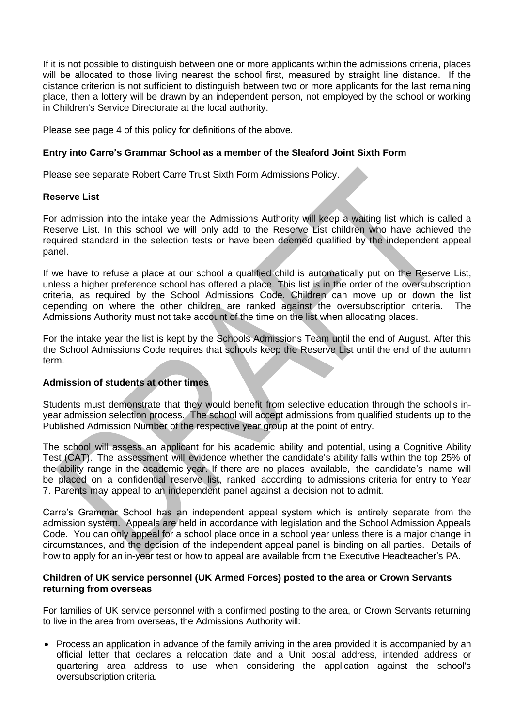If it is not possible to distinguish between one or more applicants within the admissions criteria, places will be allocated to those living nearest the school first, measured by straight line distance. If the distance criterion is not sufficient to distinguish between two or more applicants for the last remaining place, then a lottery will be drawn by an independent person, not employed by the school or working in Children's Service Directorate at the local authority.

Please see page 4 of this policy for definitions of the above.

## **Entry into Carre's Grammar School as a member of the Sleaford Joint Sixth Form**

Please see separate Robert Carre Trust Sixth Form Admissions Policy.

### **Reserve List**

For admission into the intake year the Admissions Authority will keep a waiting list which is called a Reserve List. In this school we will only add to the Reserve List children who have achieved the required standard in the selection tests or have been deemed qualified by the independent appeal panel.

If we have to refuse a place at our school a qualified child is automatically put on the Reserve List, unless a higher preference school has offered a place. This list is in the order of the oversubscription criteria, as required by the School Admissions Code. Children can move up or down the list depending on where the other children are ranked against the oversubscription criteria. The Admissions Authority must not take account of the time on the list when allocating places.

For the intake year the list is kept by the Schools Admissions Team until the end of August. After this the School Admissions Code requires that schools keep the Reserve List until the end of the autumn term.

## **Admission of students at other times**

Students must demonstrate that they would benefit from selective education through the school's inyear admission selection process. The school will accept admissions from qualified students up to the Published Admission Number of the respective year group at the point of entry.

The school will assess an applicant for his academic ability and potential, using a Cognitive Ability Test (CAT). The assessment will evidence whether the candidate's ability falls within the top 25% of the ability range in the academic year. If there are no places available, the candidate's name will be placed on a confidential reserve list, ranked according to admissions criteria for entry to Year 7. Parents may appeal to an independent panel against a decision not to admit.

Carre's Grammar School has an independent appeal system which is entirely separate from the admission system. Appeals are held in accordance with legislation and the School Admission Appeals Code. You can only appeal for a school place once in a school year unless there is a major change in circumstances, and the decision of the independent appeal panel is binding on all parties. Details of how to apply for an in-year test or how to appeal are available from the Executive Headteacher's PA.

### **Children of UK service personnel (UK Armed Forces) posted to the area or Crown Servants returning from overseas**

For families of UK service personnel with a confirmed posting to the area, or Crown Servants returning to live in the area from overseas, the Admissions Authority will:

• Process an application in advance of the family arriving in the area provided it is accompanied by an official letter that declares a relocation date and a Unit postal address, intended address or quartering area address to use when considering the application against the school's oversubscription criteria.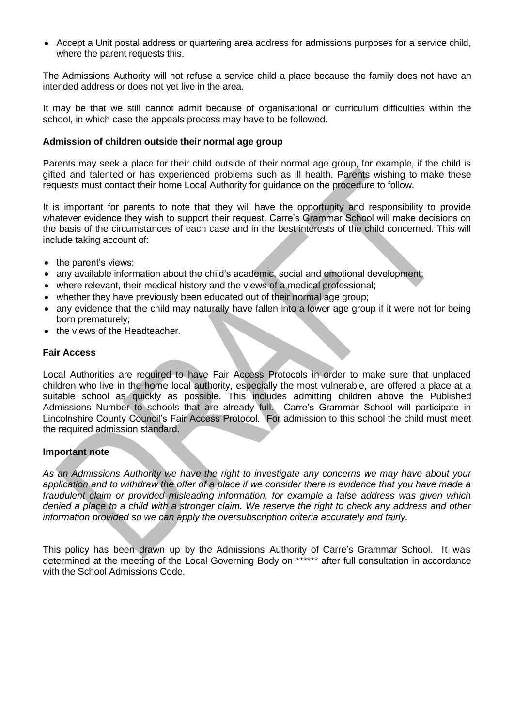• Accept a Unit postal address or quartering area address for admissions purposes for a service child, where the parent requests this.

The Admissions Authority will not refuse a service child a place because the family does not have an intended address or does not yet live in the area.

It may be that we still cannot admit because of organisational or curriculum difficulties within the school, in which case the appeals process may have to be followed.

#### **Admission of children outside their normal age group**

Parents may seek a place for their child outside of their normal age group, for example, if the child is gifted and talented or has experienced problems such as ill health. Parents wishing to make these requests must contact their home Local Authority for guidance on the procedure to follow.

It is important for parents to note that they will have the opportunity and responsibility to provide whatever evidence they wish to support their request. Carre's Grammar School will make decisions on the basis of the circumstances of each case and in the best interests of the child concerned. This will include taking account of:

- the parent's views;
- any available information about the child's academic, social and emotional development;
- where relevant, their medical history and the views of a medical professional;
- whether they have previously been educated out of their normal age group;
- any evidence that the child may naturally have fallen into a lower age group if it were not for being born prematurely;
- the views of the Headteacher.

### **Fair Access**

Local Authorities are required to have Fair Access Protocols in order to make sure that unplaced children who live in the home local authority, especially the most vulnerable, are offered a place at a suitable school as quickly as possible. This includes admitting children above the Published Admissions Number to schools that are already full. Carre's Grammar School will participate in Lincolnshire County Council's Fair Access Protocol. For admission to this school the child must meet the required admission standard.

## **Important note**

*As an Admissions Authority we have the right to investigate any concerns we may have about your application and to withdraw the offer of a place if we consider there is evidence that you have made a fraudulent claim or provided misleading information, for example a false address was given which denied a place to a child with a stronger claim. We reserve the right to check any address and other information provided so we can apply the oversubscription criteria accurately and fairly.*

This policy has been drawn up by the Admissions Authority of Carre's Grammar School. It was determined at the meeting of the Local Governing Body on \*\*\*\*\*\* after full consultation in accordance with the School Admissions Code.